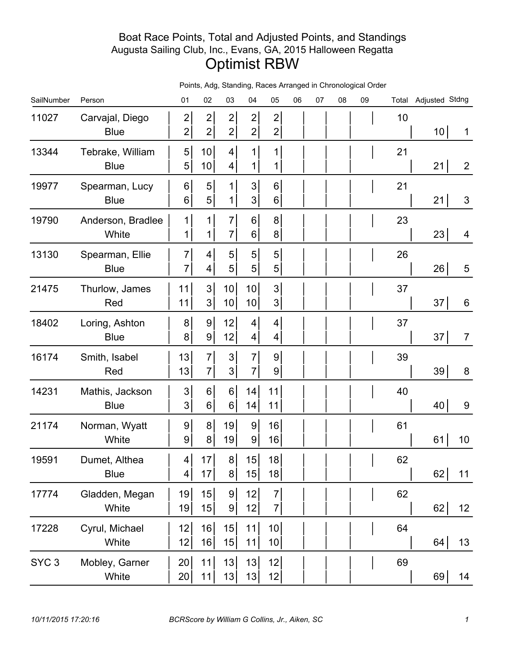## Boat Race Points, Total and Adjusted Points, and Standings Augusta Sailing Club, Inc., Evans, GA, 2015 Halloween Regatta Optimist RBW

| SailNumber       | Person                          | 01                               | 02                               | 03                                 | 04                                 | 05                               | 06 | 07 | 08 | 09 |    | Total Adjusted Stdng |                 |
|------------------|---------------------------------|----------------------------------|----------------------------------|------------------------------------|------------------------------------|----------------------------------|----|----|----|----|----|----------------------|-----------------|
| 11027            | Carvajal, Diego<br><b>Blue</b>  | $\mathbf{2}$<br>$\mathbf{2}$     | $\overline{2}$<br>$\mathbf{2}$   | $\mathbf{2}$<br>2                  | $\mathbf{2}$<br>$\mathbf{2}$       | $\overline{2}$<br>$\overline{c}$ |    |    |    |    | 10 | 10 <sup>1</sup>      | 1               |
| 13344            | Tebrake, William<br><b>Blue</b> | 5 <sup>1</sup><br>5 <sup>1</sup> | 10<br>10                         | 4 <sup>1</sup><br>$\vert 4 \vert$  | $\mathbf 1$<br>$\mathbf 1$         | 1<br>1                           |    |    |    |    | 21 | 21                   | $\overline{2}$  |
| 19977            | Spearman, Lucy<br><b>Blue</b>   | 6 <sup>1</sup><br>6 <sup>1</sup> | 5<br>5 <sup>1</sup>              | 1<br>1                             | 3 <sup>1</sup><br>$\mathbf{3}$     | 6<br>6                           |    |    |    |    | 21 | 21                   | 3               |
| 19790            | Anderson, Bradlee<br>White      | 1<br>$\mathbf{1}$                | $\mathbf 1$<br>1                 | $\overline{7}$<br>7 <sup>1</sup>   | 6 <sup>1</sup><br>6 <sup>1</sup>   | 8<br>8                           |    |    |    |    | 23 | 23                   | $\overline{4}$  |
| 13130            | Spearman, Ellie<br><b>Blue</b>  | $\overline{7}$<br>$\overline{7}$ | 4<br>$\vert 4 \vert$             | 5 <sup>1</sup><br>5 <sup>1</sup>   | 5 <sup>1</sup><br>$\overline{5}$   | 5<br>5                           |    |    |    |    | 26 | 26                   | 5               |
| 21475            | Thurlow, James<br>Red           | 11<br>11                         | 3 <sup>1</sup><br>3 <sup>1</sup> | 10 <sup>1</sup><br>10 <sup>1</sup> | 10<br>10                           | 3<br>$\mathfrak{S}$              |    |    |    |    | 37 | 37                   | 6               |
| 18402            | Loring, Ashton<br><b>Blue</b>   | 8 <sup>1</sup><br>8 <sup>1</sup> | 9 <br>9                          | 12<br>12                           | $\vert 4 \vert$<br>$\vert 4 \vert$ | 4<br>4                           |    |    |    |    | 37 | 37                   | $\overline{7}$  |
| 16174            | Smith, Isabel<br>Red            | 13<br>13                         | $\overline{7}$<br>$\overline{7}$ | 3 <sup>1</sup><br>3 <sup>1</sup>   | $\overline{7}$<br>$\overline{7}$   | 9<br>9                           |    |    |    |    | 39 | 39                   | $\bf 8$         |
| 14231            | Mathis, Jackson<br><b>Blue</b>  | 3 <sup>1</sup><br>3 <sup>1</sup> | 6<br>6                           | 6 <sup>1</sup><br>$6 \mid$         | 14<br>14                           | 11<br>11                         |    |    |    |    | 40 | 40                   | 9               |
| 21174            | Norman, Wyatt<br>White          | 9 <sup>1</sup><br>9              | 8 <sup>1</sup><br>8 <sup>1</sup> | 19<br>19                           | $\overline{9}$<br> 9               | 16<br>16                         |    |    |    |    | 61 | 61                   | 10              |
| 19591            | Dumet, Althea<br><b>Blue</b>    | $4\vert$<br>$\vert 4 \vert$      | 17<br>17                         | 8 <sup>1</sup><br>8 <sup>1</sup>   | 15<br>15                           | 18<br>18                         |    |    |    |    | 62 | 62                   | 11              |
| 17774            | Gladden, Megan<br>White         | 19<br>19                         | 15<br>15                         | 9 <sup>1</sup><br> 9               | 12<br>12                           | $\overline{7}$<br>$\overline{7}$ |    |    |    |    | 62 | 62                   | 12 <sub>1</sub> |
| 17228            | Cyrul, Michael<br>White         | 12<br>12                         | 16<br>16                         | 15<br>15                           | 11<br>11                           | 10<br>10 <sup>1</sup>            |    |    |    |    | 64 | 64                   | 13              |
| SYC <sub>3</sub> | Mobley, Garner<br>White         | 20<br>20 <sub>l</sub>            | 11<br>11                         | 13<br>13                           | 13<br>13                           | 12<br>12                         |    |    |    |    | 69 | 69                   | 14              |